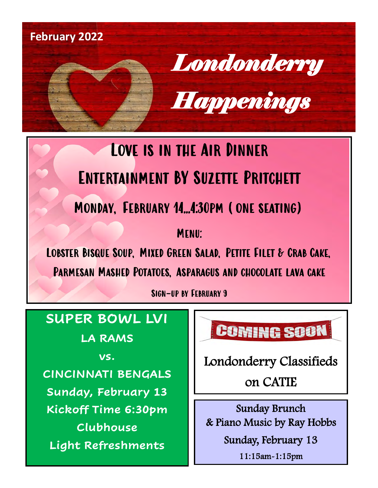

## Love is in the Air Dinner Entertainment BY Suzette Pritchett Monday, February 14...4:30pm (one seating)

**CONE SEATING** 

Lobster Bisque Soup, Mixed Green Salad, Petite Filet & Crab Cake, Parmesan Mashed Potatoes, Asparagus and chocolate lava cake

Sign-up by February 9

### **SUPER BOWL LVI**

**LA RAMS**

**vs.**

**CINCINNATI BENGALS Sunday, February 13 Kickoff Time 6:30pm Clubhouse Light Refreshments**

**COMING SOON** 

Londonderry Classifieds on CATIE

Sunday Brunch & Piano Music by Ray Hobbs Sunday, February 13

11:15am-1:15pm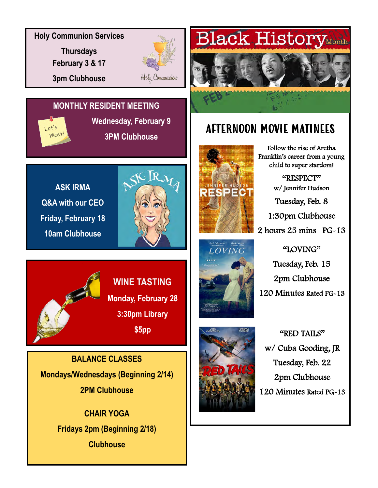**Holy Communion Services**

**Thursdays February 3 & 17 3pm Clubhouse**



Holy Communion

### **MONTHLY RESIDENT MEETING**

 $e^{t's}$ meet **Wednesday, February 9 3PM Clubhouse**

**ASK IRMA Q&A with our CEO Friday, February 18 10am Clubhouse**







Follow the rise of Aretha Franklin's career from a young child to super stardom!

AFTERNOON MOVIE MATINEES

**Black History** Month

"RESPECT" w/ Jennifer Hudson Tuesday, Feb. 8 1:30pm Clubhouse 2 hours 25 mins PG-13

"LOVING" Tuesday, Feb. 15 2pm Clubhouse 120 Minutes Rated PG-13

"RED TAILS" w/ Cuba Gooding, JR Tuesday, Feb. 22 2pm Clubhouse 120 Minutes Rated PG-13



**BALANCE CLASSES Mondays/Wednesdays (Beginning 2/14) 2PM Clubhouse**

> **CHAIR YOGA Fridays 2pm (Beginning 2/18) Clubhouse**